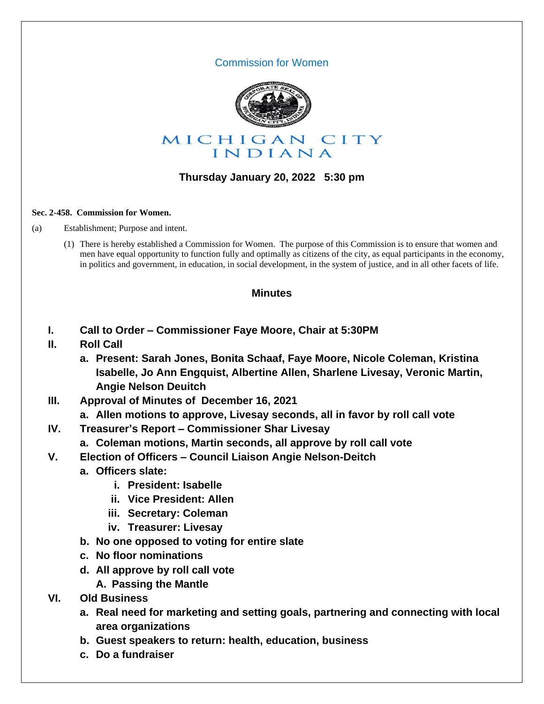### Commission for Women



## **Thursday January 20, 2022 5:30 pm**

#### **Sec. 2-458. Commission for Women.**

(a) Establishment; Purpose and intent.

(1) There is hereby established a Commission for Women. The purpose of this Commission is to ensure that women and men have equal opportunity to function fully and optimally as citizens of the city, as equal participants in the economy, in politics and government, in education, in social development, in the system of justice, and in all other facets of life.

### **Minutes**

- **I. Call to Order – Commissioner Faye Moore, Chair at 5:30PM**
- **II. Roll Call**
	- **a. Present: Sarah Jones, Bonita Schaaf, Faye Moore, Nicole Coleman, Kristina Isabelle, Jo Ann Engquist, Albertine Allen, Sharlene Livesay, Veronic Martin, Angie Nelson Deuitch**
- **III. Approval of Minutes of December 16, 2021**
	- **a. Allen motions to approve, Livesay seconds, all in favor by roll call vote**
- **IV. Treasurer's Report – Commissioner Shar Livesay**
	- **a. Coleman motions, Martin seconds, all approve by roll call vote**
- **V. Election of Officers – Council Liaison Angie Nelson-Deitch**
	- **a. Officers slate:**
		- **i. President: Isabelle**
		- **ii. Vice President: Allen**
		- **iii. Secretary: Coleman**
		- **iv. Treasurer: Livesay**
	- **b. No one opposed to voting for entire slate**
	- **c. No floor nominations**
	- **d. All approve by roll call vote**
		- **A. Passing the Mantle**
- **VI. Old Business**
	- **a. Real need for marketing and setting goals, partnering and connecting with local area organizations**
	- **b. Guest speakers to return: health, education, business**
	- **c. Do a fundraiser**